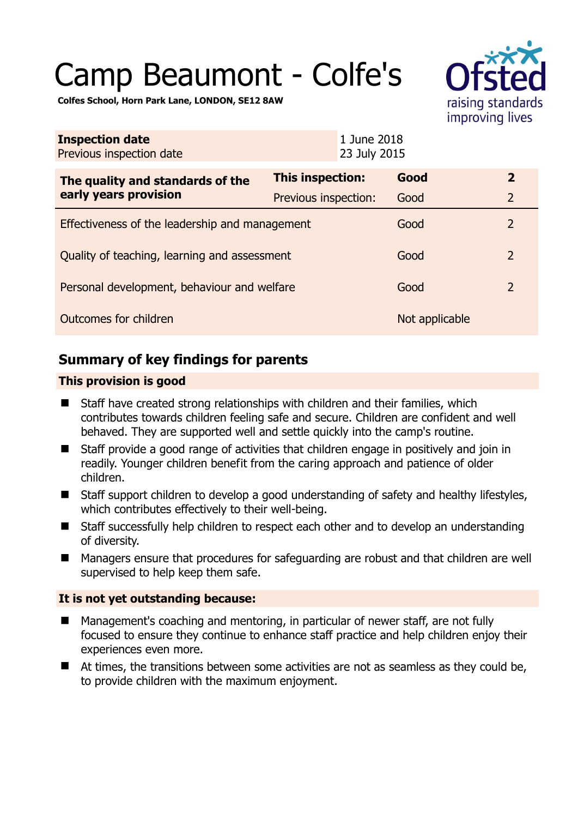# Camp Beaumont - Colfe's



**Colfes School, Horn Park Lane, LONDON, SE12 8AW** 

| <b>Inspection date</b><br>Previous inspection date        | 1 June 2018<br>23 July 2015 |                |                |
|-----------------------------------------------------------|-----------------------------|----------------|----------------|
| The quality and standards of the<br>early years provision | This inspection:            | Good           | $\overline{2}$ |
|                                                           | Previous inspection:        | Good           | $\overline{2}$ |
| Effectiveness of the leadership and management            |                             | Good           | 2              |
| Quality of teaching, learning and assessment              |                             | Good           | $\overline{2}$ |
| Personal development, behaviour and welfare               |                             | Good           | $\overline{2}$ |
| Outcomes for children                                     |                             | Not applicable |                |

# **Summary of key findings for parents**

## **This provision is good**

- Staff have created strong relationships with children and their families, which contributes towards children feeling safe and secure. Children are confident and well behaved. They are supported well and settle quickly into the camp's routine.
- Staff provide a good range of activities that children engage in positively and join in readily. Younger children benefit from the caring approach and patience of older children.
- Staff support children to develop a good understanding of safety and healthy lifestyles, which contributes effectively to their well-being.
- Staff successfully help children to respect each other and to develop an understanding of diversity.
- Managers ensure that procedures for safeguarding are robust and that children are well supervised to help keep them safe.

## **It is not yet outstanding because:**

- Management's coaching and mentoring, in particular of newer staff, are not fully focused to ensure they continue to enhance staff practice and help children enjoy their experiences even more.
- At times, the transitions between some activities are not as seamless as they could be, to provide children with the maximum enjoyment.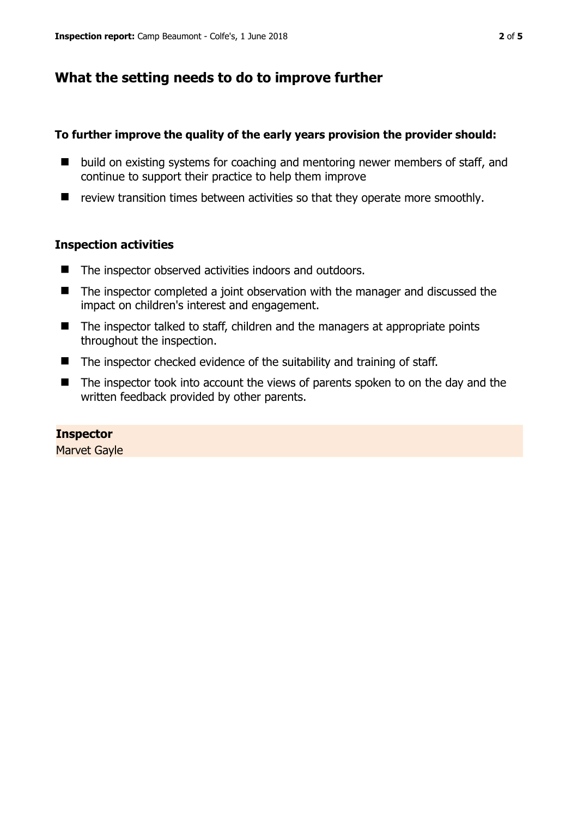# **What the setting needs to do to improve further**

## **To further improve the quality of the early years provision the provider should:**

- build on existing systems for coaching and mentoring newer members of staff, and continue to support their practice to help them improve
- $\blacksquare$  review transition times between activities so that they operate more smoothly.

## **Inspection activities**

- The inspector observed activities indoors and outdoors.
- The inspector completed a joint observation with the manager and discussed the impact on children's interest and engagement.
- The inspector talked to staff, children and the managers at appropriate points throughout the inspection.
- The inspector checked evidence of the suitability and training of staff.
- The inspector took into account the views of parents spoken to on the day and the written feedback provided by other parents.

# **Inspector**

Marvet Gayle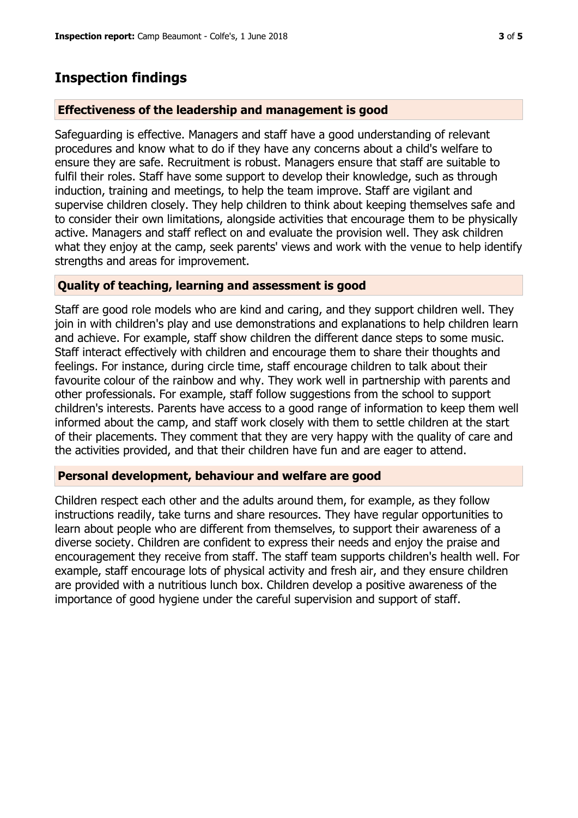# **Inspection findings**

## **Effectiveness of the leadership and management is good**

Safeguarding is effective. Managers and staff have a good understanding of relevant procedures and know what to do if they have any concerns about a child's welfare to ensure they are safe. Recruitment is robust. Managers ensure that staff are suitable to fulfil their roles. Staff have some support to develop their knowledge, such as through induction, training and meetings, to help the team improve. Staff are vigilant and supervise children closely. They help children to think about keeping themselves safe and to consider their own limitations, alongside activities that encourage them to be physically active. Managers and staff reflect on and evaluate the provision well. They ask children what they enjoy at the camp, seek parents' views and work with the venue to help identify strengths and areas for improvement.

## **Quality of teaching, learning and assessment is good**

Staff are good role models who are kind and caring, and they support children well. They join in with children's play and use demonstrations and explanations to help children learn and achieve. For example, staff show children the different dance steps to some music. Staff interact effectively with children and encourage them to share their thoughts and feelings. For instance, during circle time, staff encourage children to talk about their favourite colour of the rainbow and why. They work well in partnership with parents and other professionals. For example, staff follow suggestions from the school to support children's interests. Parents have access to a good range of information to keep them well informed about the camp, and staff work closely with them to settle children at the start of their placements. They comment that they are very happy with the quality of care and the activities provided, and that their children have fun and are eager to attend.

## **Personal development, behaviour and welfare are good**

Children respect each other and the adults around them, for example, as they follow instructions readily, take turns and share resources. They have regular opportunities to learn about people who are different from themselves, to support their awareness of a diverse society. Children are confident to express their needs and enjoy the praise and encouragement they receive from staff. The staff team supports children's health well. For example, staff encourage lots of physical activity and fresh air, and they ensure children are provided with a nutritious lunch box. Children develop a positive awareness of the importance of good hygiene under the careful supervision and support of staff.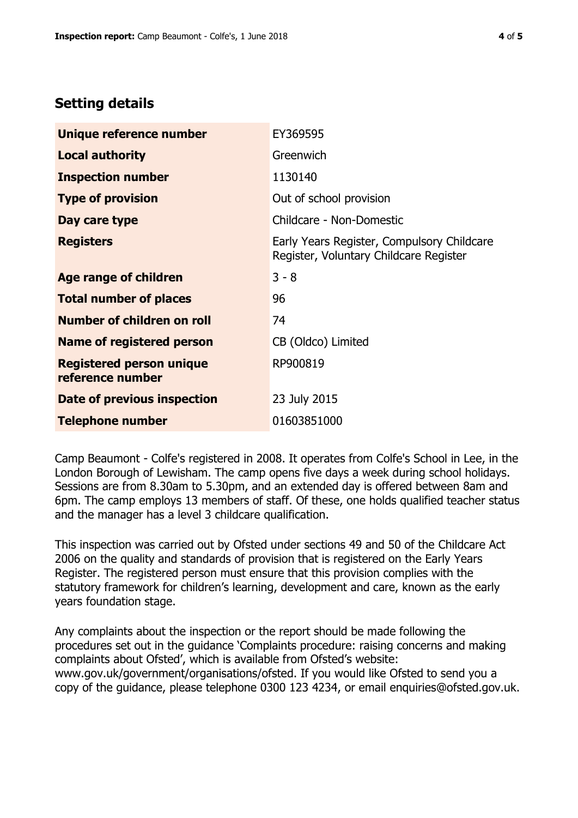# **Setting details**

| Unique reference number                             | EY369595                                                                             |  |
|-----------------------------------------------------|--------------------------------------------------------------------------------------|--|
| <b>Local authority</b>                              | Greenwich                                                                            |  |
| <b>Inspection number</b>                            | 1130140                                                                              |  |
| <b>Type of provision</b>                            | Out of school provision                                                              |  |
| Day care type                                       | Childcare - Non-Domestic                                                             |  |
| <b>Registers</b>                                    | Early Years Register, Compulsory Childcare<br>Register, Voluntary Childcare Register |  |
| Age range of children                               | $3 - 8$                                                                              |  |
| <b>Total number of places</b>                       | 96                                                                                   |  |
| Number of children on roll                          | 74                                                                                   |  |
| Name of registered person                           | CB (Oldco) Limited                                                                   |  |
| <b>Registered person unique</b><br>reference number | RP900819                                                                             |  |
| <b>Date of previous inspection</b>                  | 23 July 2015                                                                         |  |
| <b>Telephone number</b>                             | 01603851000                                                                          |  |

Camp Beaumont - Colfe's registered in 2008. It operates from Colfe's School in Lee, in the London Borough of Lewisham. The camp opens five days a week during school holidays. Sessions are from 8.30am to 5.30pm, and an extended day is offered between 8am and 6pm. The camp employs 13 members of staff. Of these, one holds qualified teacher status and the manager has a level 3 childcare qualification.

This inspection was carried out by Ofsted under sections 49 and 50 of the Childcare Act 2006 on the quality and standards of provision that is registered on the Early Years Register. The registered person must ensure that this provision complies with the statutory framework for children's learning, development and care, known as the early years foundation stage.

Any complaints about the inspection or the report should be made following the procedures set out in the guidance 'Complaints procedure: raising concerns and making complaints about Ofsted', which is available from Ofsted's website: www.gov.uk/government/organisations/ofsted. If you would like Ofsted to send you a copy of the guidance, please telephone 0300 123 4234, or email enquiries@ofsted.gov.uk.